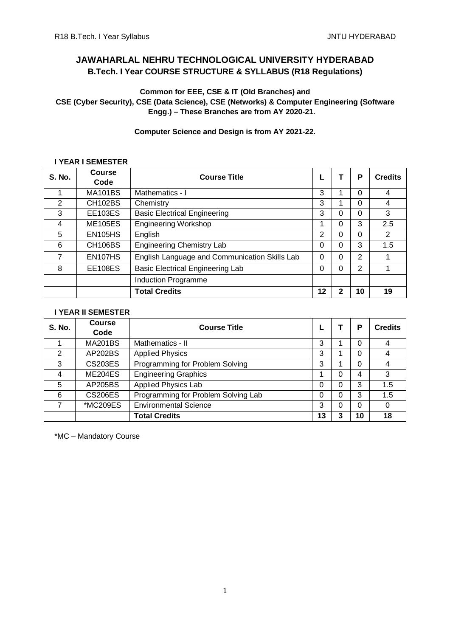# **JAWAHARLAL NEHRU TECHNOLOGICAL UNIVERSITY HYDERABAD B.Tech. I Year COURSE STRUCTURE & SYLLABUS (R18 Regulations)**

# **Common for EEE, CSE & IT (Old Branches) and CSE (Cyber Security), CSE (Data Science), CSE (Networks) & Computer Engineering (Software Engg.) – These Branches are from AY 2020-21.**

# **Computer Science and Design is from AY 2021-22.**

# **I YEAR I SEMESTER**

| <b>S. No.</b> | <b>Course</b>  | <b>Course Title</b>                           |    |   | Р  | <b>Credits</b> |
|---------------|----------------|-----------------------------------------------|----|---|----|----------------|
|               | Code           |                                               |    |   |    |                |
|               | <b>MA101BS</b> | Mathematics - I                               | 3  |   | 0  | 4              |
| 2             | <b>CH102BS</b> | Chemistry                                     | 3  |   | 0  | 4              |
| 3             | <b>EE103ES</b> | <b>Basic Electrical Engineering</b>           | 3  | 0 | 0  | 3              |
| 4             | <b>ME105ES</b> | <b>Engineering Workshop</b>                   | 4  | 0 | 3  | 2.5            |
| 5             | <b>EN105HS</b> | English                                       | 2  | 0 | 0  | 2              |
| 6             | <b>CH106BS</b> | <b>Engineering Chemistry Lab</b>              | 0  | 0 | 3  | 1.5            |
| 7             | EN107HS        | English Language and Communication Skills Lab | 0  | 0 | 2  |                |
| 8             | <b>EE108ES</b> | <b>Basic Electrical Engineering Lab</b>       | 0  | 0 | 2  | 4              |
|               |                | <b>Induction Programme</b>                    |    |   |    |                |
|               |                | <b>Total Credits</b>                          | 12 | າ | 10 | 19             |

# **I YEAR II SEMESTER**

| <b>S. No.</b> | <b>Course</b>  | <b>Course Title</b>                 |    |   | P  | <b>Credits</b> |  |
|---------------|----------------|-------------------------------------|----|---|----|----------------|--|
|               | Code           |                                     |    |   |    |                |  |
|               | <b>MA201BS</b> | Mathematics - II                    | 3  |   | 0  | 4              |  |
| 2             | AP202BS        | <b>Applied Physics</b>              | 3  |   | 0  | 4              |  |
| 3             | <b>CS203ES</b> | Programming for Problem Solving     | 3  |   | 0  | 4              |  |
| 4             | ME204ES        | <b>Engineering Graphics</b>         |    | 0 | 4  | 3              |  |
| 5             | AP205BS        | <b>Applied Physics Lab</b>          | 0  | ი | 3  | 1.5            |  |
| 6             | <b>CS206ES</b> | Programming for Problem Solving Lab | 0  | ი | 3  | 1.5            |  |
|               | *MC209ES       | <b>Environmental Science</b>        | 3  | 0 | 0  | 0              |  |
|               |                | <b>Total Credits</b>                | 13 | 3 | 10 | 18             |  |

\*MC – Mandatory Course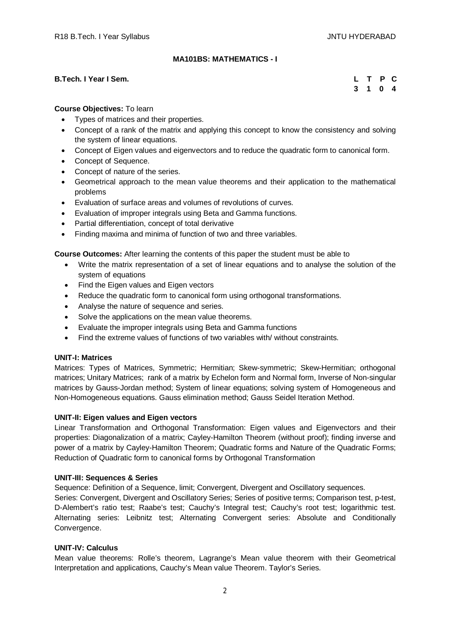# **MA101BS: MATHEMATICS - I**

#### **B.Tech. I Year I Sem.**

|  | L T P C |  |
|--|---------|--|
|  | 3 1 0 4 |  |

## **Course Objectives:** To learn

- Types of matrices and their properties.
- Concept of a rank of the matrix and applying this concept to know the consistency and solving the system of linear equations.
- Concept of Eigen values and eigenvectors and to reduce the quadratic form to canonical form.
- Concept of Sequence.
- Concept of nature of the series.
- Geometrical approach to the mean value theorems and their application to the mathematical problems
- Evaluation of surface areas and volumes of revolutions of curves.
- Evaluation of improper integrals using Beta and Gamma functions.
- Partial differentiation, concept of total derivative
- Finding maxima and minima of function of two and three variables.

**Course Outcomes:** After learning the contents of this paper the student must be able to

- Write the matrix representation of a set of linear equations and to analyse the solution of the system of equations
- Find the Eigen values and Eigen vectors
- Reduce the quadratic form to canonical form using orthogonal transformations.
- Analyse the nature of sequence and series.
- Solve the applications on the mean value theorems.
- Evaluate the improper integrals using Beta and Gamma functions
- Find the extreme values of functions of two variables with/ without constraints.

#### **UNIT-I: Matrices**

Matrices: Types of Matrices, Symmetric; Hermitian; Skew-symmetric; Skew-Hermitian; orthogonal matrices; Unitary Matrices; rank of a matrix by Echelon form and Normal form, Inverse of Non-singular matrices by Gauss-Jordan method; System of linear equations; solving system of Homogeneous and Non-Homogeneous equations. Gauss elimination method; Gauss Seidel Iteration Method.

#### **UNIT-II: Eigen values and Eigen vectors**

Linear Transformation and Orthogonal Transformation: Eigen values and Eigenvectors and their properties: Diagonalization of a matrix; Cayley-Hamilton Theorem (without proof); finding inverse and power of a matrix by Cayley-Hamilton Theorem; Quadratic forms and Nature of the Quadratic Forms; Reduction of Quadratic form to canonical forms by Orthogonal Transformation

#### **UNIT-III: Sequences & Series**

Sequence: Definition of a Sequence, limit; Convergent, Divergent and Oscillatory sequences.

Series: Convergent, Divergent and Oscillatory Series; Series of positive terms; Comparison test, p-test, D-Alembert's ratio test; Raabe's test; Cauchy's Integral test; Cauchy's root test; logarithmic test. Alternating series: Leibnitz test; Alternating Convergent series: Absolute and Conditionally Convergence.

#### **UNIT-IV: Calculus**

Mean value theorems: Rolle's theorem, Lagrange's Mean value theorem with their Geometrical Interpretation and applications, Cauchy's Mean value Theorem. Taylor's Series.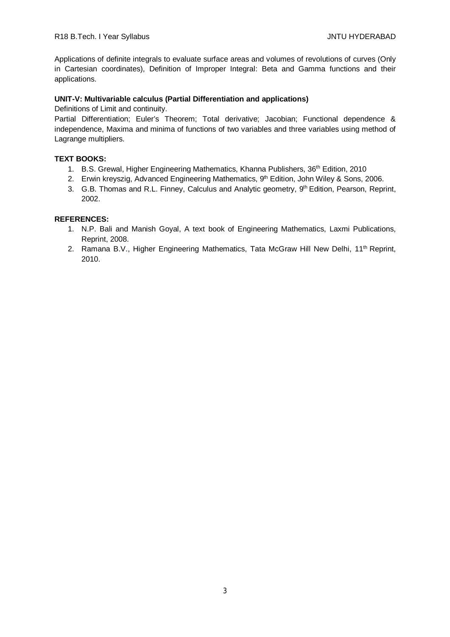Applications of definite integrals to evaluate surface areas and volumes of revolutions of curves (Only in Cartesian coordinates), Definition of Improper Integral: Beta and Gamma functions and their applications.

## **UNIT-V: Multivariable calculus (Partial Differentiation and applications)**

Definitions of Limit and continuity.

Partial Differentiation; Euler's Theorem; Total derivative; Jacobian; Functional dependence & independence, Maxima and minima of functions of two variables and three variables using method of Lagrange multipliers.

# **TEXT BOOKS:**

- 1. B.S. Grewal, Higher Engineering Mathematics, Khanna Publishers, 36<sup>th</sup> Edition, 2010
- 2. Erwin kreyszig, Advanced Engineering Mathematics, 9<sup>th</sup> Edition, John Wiley & Sons, 2006.
- 3. G.B. Thomas and R.L. Finney, Calculus and Analytic geometry, 9<sup>th</sup> Edition, Pearson, Reprint, 2002.

## **REFERENCES:**

- 1. N.P. Bali and Manish Goyal, A text book of Engineering Mathematics, Laxmi Publications, Reprint, 2008.
- 2. Ramana B.V., Higher Engineering Mathematics, Tata McGraw Hill New Delhi, 11<sup>th</sup> Reprint, 2010.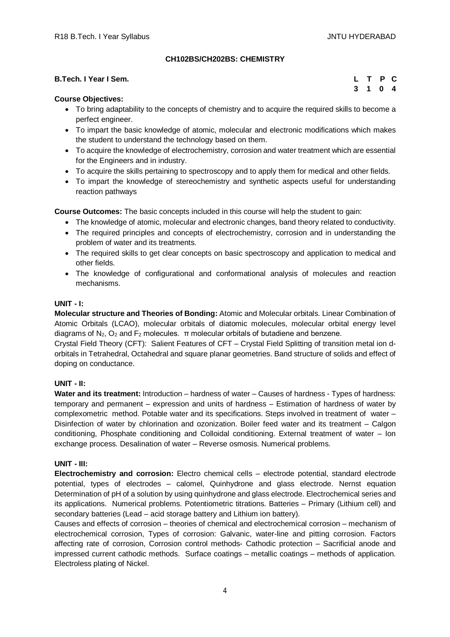# **CH102BS/CH202BS: CHEMISTRY**

| B.Tech. I Year I Sem. | L T P C |  |  |
|-----------------------|---------|--|--|
|                       | 3 1 0 4 |  |  |

## **Course Objectives:**

- To bring adaptability to the concepts of chemistry and to acquire the required skills to become a perfect engineer.
- To impart the basic knowledge of atomic, molecular and electronic modifications which makes the student to understand the technology based on them.
- To acquire the knowledge of electrochemistry, corrosion and water treatment which are essential for the Engineers and in industry.
- To acquire the skills pertaining to spectroscopy and to apply them for medical and other fields.
- To impart the knowledge of stereochemistry and synthetic aspects useful for understanding reaction pathways

**Course Outcomes:** The basic concepts included in this course will help the student to gain:

- The knowledge of atomic, molecular and electronic changes, band theory related to conductivity.
- The required principles and concepts of electrochemistry, corrosion and in understanding the problem of water and its treatments.
- The required skills to get clear concepts on basic spectroscopy and application to medical and other fields.
- The knowledge of configurational and conformational analysis of molecules and reaction mechanisms.

## **UNIT - I:**

**Molecular structure and Theories of Bonding:** Atomic and Molecular orbitals. Linear Combination of Atomic Orbitals (LCAO), molecular orbitals of diatomic molecules, molecular orbital energy level diagrams of  $N_2$ ,  $O_2$  and  $F_2$  molecules.  $\pi$  molecular orbitals of butadiene and benzene.

Crystal Field Theory (CFT): Salient Features of CFT – Crystal Field Splitting of transition metal ion dorbitals in Tetrahedral, Octahedral and square planar geometries. Band structure of solids and effect of doping on conductance.

# **UNIT - II:**

Water and its treatment: Introduction – hardness of water – Causes of hardness - Types of hardness: temporary and permanent – expression and units of hardness – Estimation of hardness of water by complexometric method. Potable water and its specifications. Steps involved in treatment of water – Disinfection of water by chlorination and ozonization. Boiler feed water and its treatment – Calgon conditioning, Phosphate conditioning and Colloidal conditioning. External treatment of water – Ion exchange process. Desalination of water – Reverse osmosis. Numerical problems.

# **UNIT - III:**

**Electrochemistry and corrosion:** Electro chemical cells – electrode potential, standard electrode potential, types of electrodes – calomel, Quinhydrone and glass electrode. Nernst equation Determination of pH of a solution by using quinhydrone and glass electrode. Electrochemical series and its applications. Numerical problems. Potentiometric titrations. Batteries – Primary (Lithium cell) and secondary batteries (Lead – acid storage battery and Lithium ion battery).

Causes and effects of corrosion – theories of chemical and electrochemical corrosion – mechanism of electrochemical corrosion, Types of corrosion: Galvanic, water-line and pitting corrosion. Factors affecting rate of corrosion, Corrosion control methods- Cathodic protection – Sacrificial anode and impressed current cathodic methods. Surface coatings – metallic coatings – methods of application. Electroless plating of Nickel.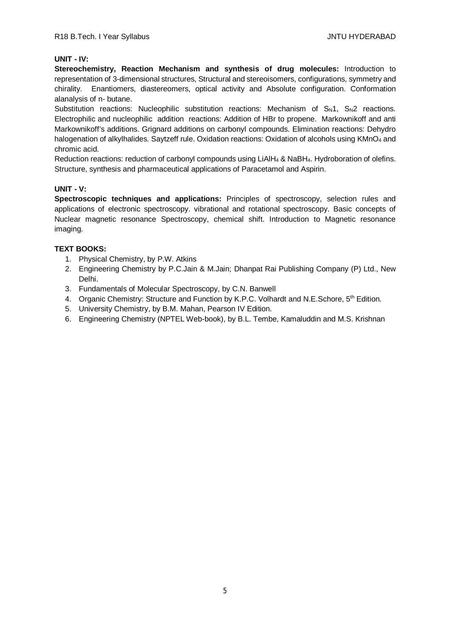# **UNIT - IV:**

**Stereochemistry, Reaction Mechanism and synthesis of drug molecules:** Introduction to representation of 3-dimensional structures, Structural and stereoisomers, configurations, symmetry and chirality. Enantiomers, diastereomers, optical activity and Absolute configuration. Conformation alanalysis of n- butane.

Substitution reactions: Nucleophilic substitution reactions: Mechanism of  $S_N1$ ,  $S_N2$  reactions. Electrophilic and nucleophilic addition reactions: Addition of HBr to propene. Markownikoff and anti Markownikoff's additions. Grignard additions on carbonyl compounds. Elimination reactions: Dehydro halogenation of alkylhalides. Saytzeff rule. Oxidation reactions: Oxidation of alcohols using KMnO<sub>4</sub> and chromic acid.

Reduction reactions: reduction of carbonyl compounds using LiAlH<sup>4</sup> & NaBH4. Hydroboration of olefins. Structure, synthesis and pharmaceutical applications of Paracetamol and Aspirin.

# **UNIT - V:**

**Spectroscopic techniques and applications:** Principles of spectroscopy, selection rules and applications of electronic spectroscopy. vibrational and rotational spectroscopy. Basic concepts of Nuclear magnetic resonance Spectroscopy, chemical shift. Introduction to Magnetic resonance imaging.

# **TEXT BOOKS:**

- 1. Physical Chemistry, by P.W. Atkins
- 2. Engineering Chemistry by P.C.Jain & M.Jain; Dhanpat Rai Publishing Company (P) Ltd., New Delhi.
- 3. Fundamentals of Molecular Spectroscopy, by C.N. Banwell
- 4. Organic Chemistry: Structure and Function by K.P.C. Volhardt and N.E. Schore, 5<sup>th</sup> Edition.
- 5. University Chemistry, by B.M. Mahan, Pearson IV Edition.
- 6. Engineering Chemistry (NPTEL Web-book), by B.L. Tembe, Kamaluddin and M.S. Krishnan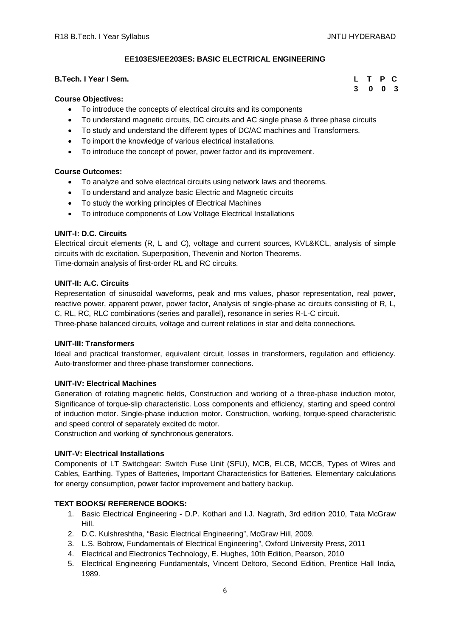## **EE103ES/EE203ES: BASIC ELECTRICAL ENGINEERING**

# **B.Tech. I Year I Sem.**

#### **Course Objectives:**

- To introduce the concepts of electrical circuits and its components
- To understand magnetic circuits, DC circuits and AC single phase & three phase circuits
- To study and understand the different types of DC/AC machines and Transformers.
- To import the knowledge of various electrical installations.
- To introduce the concept of power, power factor and its improvement.

#### **Course Outcomes:**

- To analyze and solve electrical circuits using network laws and theorems.
- To understand and analyze basic Electric and Magnetic circuits
- To study the working principles of Electrical Machines
- To introduce components of Low Voltage Electrical Installations

#### **UNIT-I: D.C. Circuits**

Electrical circuit elements (R, L and C), voltage and current sources, KVL&KCL, analysis of simple circuits with dc excitation. Superposition, Thevenin and Norton Theorems. Time-domain analysis of first-order RL and RC circuits.

#### **UNIT-II: A.C. Circuits**

Representation of sinusoidal waveforms, peak and rms values, phasor representation, real power, reactive power, apparent power, power factor, Analysis of single-phase ac circuits consisting of R, L, C, RL, RC, RLC combinations (series and parallel), resonance in series R-L-C circuit. Three-phase balanced circuits, voltage and current relations in star and delta connections.

#### **UNIT-III: Transformers**

Ideal and practical transformer, equivalent circuit, losses in transformers, regulation and efficiency. Auto-transformer and three-phase transformer connections.

#### **UNIT-IV: Electrical Machines**

Generation of rotating magnetic fields, Construction and working of a three-phase induction motor, Significance of torque-slip characteristic. Loss components and efficiency, starting and speed control of induction motor. Single-phase induction motor. Construction, working, torque-speed characteristic and speed control of separately excited dc motor.

Construction and working of synchronous generators.

#### **UNIT-V: Electrical Installations**

Components of LT Switchgear: Switch Fuse Unit (SFU), MCB, ELCB, MCCB, Types of Wires and Cables, Earthing. Types of Batteries, Important Characteristics for Batteries. Elementary calculations for energy consumption, power factor improvement and battery backup.

#### **TEXT BOOKS/ REFERENCE BOOKS:**

- 1. Basic Electrical Engineering D.P. Kothari and I.J. Nagrath, 3rd edition 2010, Tata McGraw Hill.
- 2. D.C. Kulshreshtha, "Basic Electrical Engineering", McGraw Hill, 2009.
- 3. L.S. Bobrow, Fundamentals of Electrical Engineering", Oxford University Press, 2011
- 4. Electrical and Electronics Technology, E. Hughes, 10th Edition, Pearson, 2010
- 5. Electrical Engineering Fundamentals, Vincent Deltoro, Second Edition, Prentice Hall India, 1989.

|  | L T P C                     |  |
|--|-----------------------------|--|
|  | $3 \quad 0 \quad 0 \quad 3$ |  |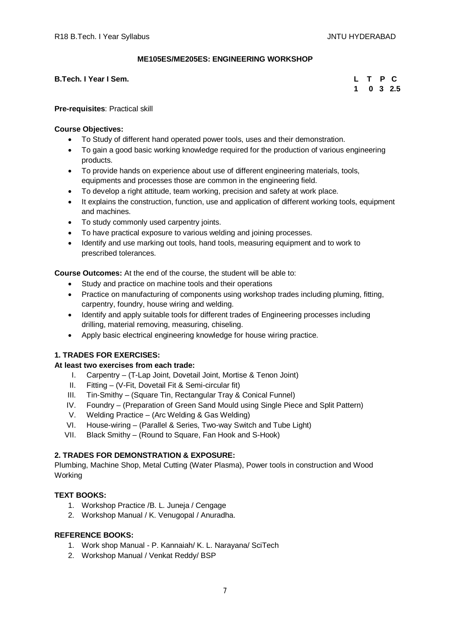## **ME105ES/ME205ES: ENGINEERING WORKSHOP**

**B.Tech. I Year I Sem.** 

|  |  | L T P C           |
|--|--|-------------------|
|  |  | $1 \t0 \t3 \t2.5$ |

**Pre-requisites**: Practical skill

## **Course Objectives:**

- To Study of different hand operated power tools, uses and their demonstration.
- To gain a good basic working knowledge required for the production of various engineering products.
- To provide hands on experience about use of different engineering materials, tools, equipments and processes those are common in the engineering field.
- To develop a right attitude, team working, precision and safety at work place.
- It explains the construction, function, use and application of different working tools, equipment and machines.
- To study commonly used carpentry joints.
- To have practical exposure to various welding and joining processes.
- Identify and use marking out tools, hand tools, measuring equipment and to work to prescribed tolerances.

**Course Outcomes:** At the end of the course, the student will be able to:

- Study and practice on machine tools and their operations
- Practice on manufacturing of components using workshop trades including pluming, fitting, carpentry, foundry, house wiring and welding.
- Identify and apply suitable tools for different trades of Engineering processes including drilling, material removing, measuring, chiseling.
- Apply basic electrical engineering knowledge for house wiring practice.

# **1. TRADES FOR EXERCISES:**

# **At least two exercises from each trade:**

- I. Carpentry (T-Lap Joint, Dovetail Joint, Mortise & Tenon Joint)
- II. Fitting (V-Fit, Dovetail Fit & Semi-circular fit)
- III. Tin-Smithy (Square Tin, Rectangular Tray & Conical Funnel)
- IV. Foundry (Preparation of Green Sand Mould using Single Piece and Split Pattern)
- V. Welding Practice (Arc Welding & Gas Welding)
- VI. House-wiring (Parallel & Series, Two-way Switch and Tube Light)
- VII. Black Smithy (Round to Square, Fan Hook and S-Hook)

# **2. TRADES FOR DEMONSTRATION & EXPOSURE:**

Plumbing, Machine Shop, Metal Cutting (Water Plasma), Power tools in construction and Wood Working

# **TEXT BOOKS:**

- 1. Workshop Practice /B. L. Juneja / Cengage
- 2. Workshop Manual / K. Venugopal / Anuradha.

- 1. Work shop Manual P. Kannaiah/ K. L. Narayana/ SciTech
- 2. Workshop Manual / Venkat Reddy/ BSP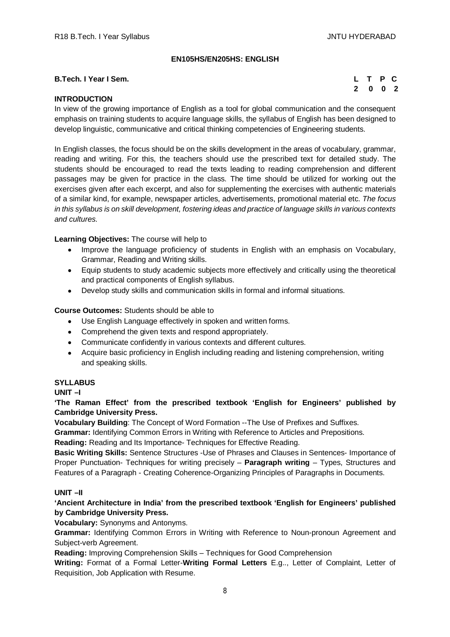## **EN105HS/EN205HS: ENGLISH**

#### **B.Tech. I Year I Sem.**

|  | L T P C                     |  |
|--|-----------------------------|--|
|  | $2 \quad 0 \quad 0 \quad 2$ |  |

# **INTRODUCTION**

In view of the growing importance of English as a tool for global communication and the consequent emphasis on training students to acquire language skills, the syllabus of English has been designed to develop linguistic, communicative and critical thinking competencies of Engineering students.

In English classes, the focus should be on the skills development in the areas of vocabulary, grammar, reading and writing. For this, the teachers should use the prescribed text for detailed study. The students should be encouraged to read the texts leading to reading comprehension and different passages may be given for practice in the class. The time should be utilized for working out the exercises given after each excerpt, and also for supplementing the exercises with authentic materials of a similar kind, for example, newspaper articles, advertisements, promotional material etc. *The focus in this syllabus is on skill development, fostering ideas and practice of language skills in various contexts and cultures.*

## **Learning Objectives:** The course will help to

- Improve the language proficiency of students in English with an emphasis on Vocabulary, Grammar, Reading and Writing skills.
- Equip students to study academic subjects more effectively and critically using the theoretical and practical components of English syllabus.
- Develop study skills and communication skills in formal and informal situations.

## **Course Outcomes:** Students should be able to

- Use English Language effectively in spoken and written forms.
- Comprehend the given texts and respond appropriately.
- Communicate confidently in various contexts and different cultures.
- Acquire basic proficiency in English including reading and listening comprehension, writing and speaking skills.

#### **SYLLABUS**

**UNIT –I** 

**'The Raman Effect' from the prescribed textbook 'English for Engineers' published by Cambridge University Press.**

**Vocabulary Building**: The Concept of Word Formation --The Use of Prefixes and Suffixes.

**Grammar:** Identifying Common Errors in Writing with Reference to Articles and Prepositions.

**Reading:** Reading and Its Importance- Techniques for Effective Reading.

**Basic Writing Skills:** Sentence Structures -Use of Phrases and Clauses in Sentences- Importance of Proper Punctuation- Techniques for writing precisely – **Paragraph writing** – Types, Structures and Features of a Paragraph - Creating Coherence-Organizing Principles of Paragraphs in Documents.

# **UNIT –II**

# **'Ancient Architecture in India' from the prescribed textbook 'English for Engineers' published by Cambridge University Press.**

# **Vocabulary:** Synonyms and Antonyms.

**Grammar:** Identifying Common Errors in Writing with Reference to Noun-pronoun Agreement and Subject-verb Agreement.

**Reading:** Improving Comprehension Skills – Techniques for Good Comprehension

**Writing:** Format of a Formal Letter-**Writing Formal Letters** E.g.., Letter of Complaint, Letter of Requisition, Job Application with Resume.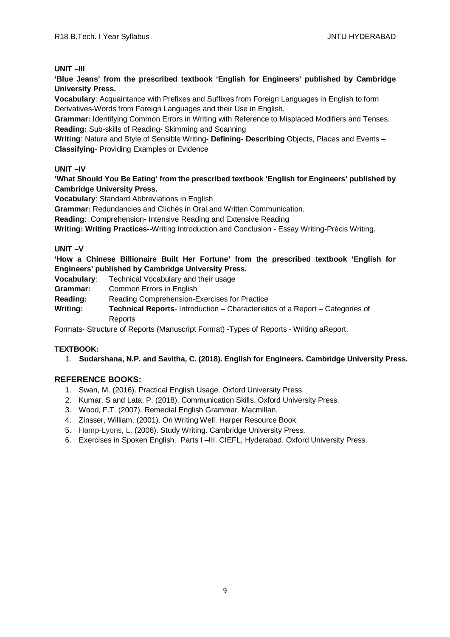## **UNIT –III**

**'Blue Jeans' from the prescribed textbook 'English for Engineers' published by Cambridge University Press.**

**Vocabulary**: Acquaintance with Prefixes and Suffixes from Foreign Languages in English to form Derivatives-Words from Foreign Languages and their Use in English.

**Grammar:** Identifying Common Errors in Writing with Reference to Misplaced Modifiers and Tenses. **Reading:** Sub-skills of Reading- Skimming and Scanning

**Writing**: Nature and Style of Sensible Writing- **Defining- Describing** Objects, Places and Events – **Classifying**- Providing Examples or Evidence

# **UNIT –IV**

**'What Should You Be Eating' from the prescribed textbook 'English for Engineers' published by Cambridge University Press.**

**Vocabulary**: Standard Abbreviations in English

**Grammar:** Redundancies and Clichés in Oral and Written Communication.

**Reading**: Comprehension**-** Intensive Reading and Extensive Reading

**Writing: Writing Practices-**-Writing Introduction and Conclusion - Essay Writing-Précis Writing.

# **UNIT –V**

**'How a Chinese Billionaire Built Her Fortune' from the prescribed textbook 'English for Engineers' published by Cambridge University Press.**

**Vocabulary**: Technical Vocabulary and their usage

**Grammar:** Common Errors in English

**Reading:** Reading Comprehension-Exercises for Practice

**Writing: Technical Reports**- Introduction – Characteristics of a Report – Categories of Reports

Formats- Structure of Reports (Manuscript Format) -Types of Reports - Writing aReport.

# **TEXTBOOK:**

1. **Sudarshana, N.P. and Savitha, C. (2018). English for Engineers. Cambridge University Press.**

- 1. Swan, M. (2016). Practical English Usage. Oxford University Press.
- 2. Kumar, S and Lata, P. (2018). Communication Skills. Oxford University Press.
- 3. Wood, F.T. (2007). Remedial English Grammar. Macmillan.
- 4. Zinsser, William. (2001). On Writing Well. Harper Resource Book.
- 5. Hamp-Lyons, L. (2006). Study Writing. Cambridge University Press.
- 6. Exercises in Spoken English. Parts I –III. CIEFL, Hyderabad. Oxford University Press.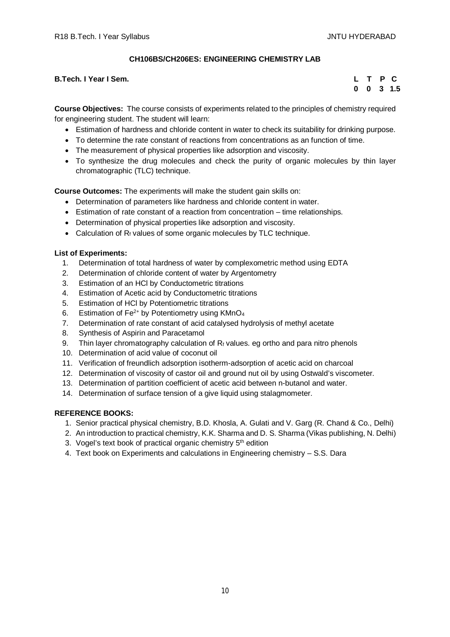# **CH106BS/CH206ES: ENGINEERING CHEMISTRY LAB**

## **B.Tech. I Year I Sem.**

|  |  | L T P C              |
|--|--|----------------------|
|  |  | $0 \t 0 \t 3 \t 1.5$ |

**Course Objectives:** The course consists of experiments related to the principles of chemistry required for engineering student. The student will learn:

- Estimation of hardness and chloride content in water to check its suitability for drinking purpose.
- To determine the rate constant of reactions from concentrations as an function of time.
- The measurement of physical properties like adsorption and viscosity.
- To synthesize the drug molecules and check the purity of organic molecules by thin layer chromatographic (TLC) technique.

**Course Outcomes:** The experiments will make the student gain skills on:

- Determination of parameters like hardness and chloride content in water.
- Estimation of rate constant of a reaction from concentration time relationships.
- Determination of physical properties like adsorption and viscosity.
- Calculation of  $R_f$  values of some organic molecules by TLC technique.

# **List of Experiments:**

- 1. Determination of total hardness of water by complexometric method using EDTA
- 2. Determination of chloride content of water by Argentometry
- 3. Estimation of an HCl by Conductometric titrations
- 4. Estimation of Acetic acid by Conductometric titrations
- 5. Estimation of HCl by Potentiometric titrations
- 6. Estimation of  $Fe^{2+}$  by Potentiometry using KMnO<sub>4</sub>
- 7. Determination of rate constant of acid catalysed hydrolysis of methyl acetate
- 8. Synthesis of Aspirin and Paracetamol
- 9. Thin layer chromatography calculation of  $R_f$  values. eg ortho and para nitro phenols
- 10. Determination of acid value of coconut oil
- 11. Verification of freundlich adsorption isotherm-adsorption of acetic acid on charcoal
- 12. Determination of viscosity of castor oil and ground nut oil by using Ostwald's viscometer.
- 13. Determination of partition coefficient of acetic acid between n-butanol and water.
- 14. Determination of surface tension of a give liquid using stalagmometer.

- 1. Senior practical physical chemistry, B.D. Khosla, A. Gulati and V. Garg (R. Chand & Co., Delhi)
- 2. An introduction to practical chemistry, K.K. Sharma and D. S. Sharma (Vikas publishing, N. Delhi)
- 3. Vogel's text book of practical organic chemistry 5<sup>th</sup> edition
- 4. Text book on Experiments and calculations in Engineering chemistry S.S. Dara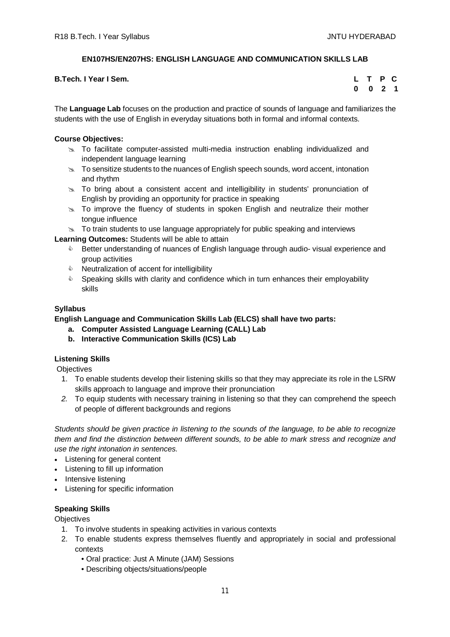# **EN107HS/EN207HS: ENGLISH LANGUAGE AND COMMUNICATION SKILLS LAB**

| <b>B.Tech. I Year I Sem.</b> | L T P C |           |  |
|------------------------------|---------|-----------|--|
|                              |         | $0$ 0 2 1 |  |

The **Language Lab** focuses on the production and practice of sounds of language and familiarizes the students with the use of English in everyday situations both in formal and informal contexts.

# **Course Objectives:**

- $\approx$  To facilitate computer-assisted multi-media instruction enabling individualized and independent language learning
- $\infty$  To sensitize students to the nuances of English speech sounds, word accent, intonation and rhythm
- $\geq$  To bring about a consistent accent and intelligibility in students' pronunciation of English by providing an opportunity for practice in speaking
- $\geq$  To improve the fluency of students in spoken English and neutralize their mother tongue influence
- $\infty$  To train students to use language appropriately for public speaking and interviews

**Learning Outcomes:** Students will be able to attain

- **EXECT** Better understanding of nuances of English language through audio- visual experience and group activities
- $\triangle$  Neutralization of accent for intelligibility
- $\bullet$  Speaking skills with clarity and confidence which in turn enhances their employability skills

# **Syllabus**

# **English Language and Communication Skills Lab (ELCS) shall have two parts:**

- **a. Computer Assisted Language Learning (CALL) Lab**
- **b. Interactive Communication Skills (ICS) Lab**

# **Listening Skills**

**Objectives** 

- 1. To enable students develop their listening skills so that they may appreciate its role in the LSRW skills approach to language and improve their pronunciation
- *2.* To equip students with necessary training in listening so that they can comprehend the speech of people of different backgrounds and regions

*Students should be given practice in listening to the sounds of the language, to be able to recognize them and find the distinction between different sounds, to be able to mark stress and recognize and use the right intonation in sentences.*

- Listening for general content
- Listening to fill up information
- Intensive listening
- Listening for specific information

# **Speaking Skills**

**Objectives** 

- 1. To involve students in speaking activities in various contexts
- 2. To enable students express themselves fluently and appropriately in social and professional contexts
	- Oral practice: Just A Minute (JAM) Sessions
	- Describing objects/situations/people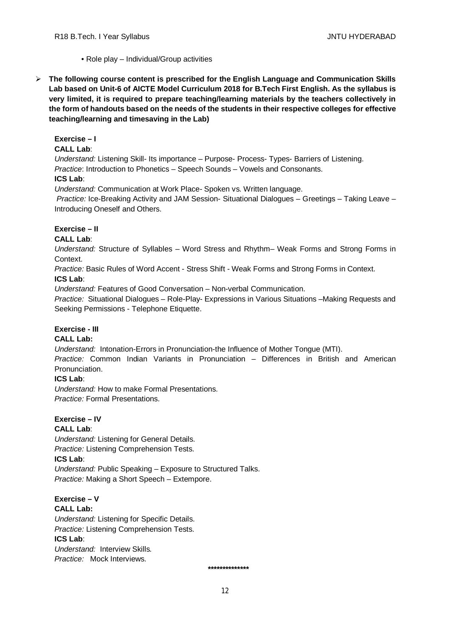- Role play Individual/Group activities
- **The following course content is prescribed for the English Language and Communication Skills Lab based on Unit-6 of AICTE Model Curriculum 2018 for B.Tech First English. As the syllabus is very limited, it is required to prepare teaching/learning materials by the teachers collectively in the form of handouts based on the needs of the students in their respective colleges for effective teaching/learning and timesaving in the Lab)**

# **Exercise – I**

# **CALL Lab**:

*Understand:* Listening Skill- Its importance – Purpose- Process- Types- Barriers of Listening. *Practice*: Introduction to Phonetics – Speech Sounds – Vowels and Consonants. **ICS Lab**:

*Understand:* Communication at Work Place*-* Spoken vs. Written language.

*Practice:* Ice-Breaking Activity and JAM Session- Situational Dialogues – Greetings – Taking Leave – Introducing Oneself and Others.

# **Exercise – II**

# **CALL Lab**:

*Understand:* Structure of Syllables – Word Stress and Rhythm– Weak Forms and Strong Forms in Context.

*Practice:* Basic Rules of Word Accent - Stress Shift - Weak Forms and Strong Forms in Context. **ICS Lab**:

*Understand:* Features of Good Conversation – Non-verbal Communication.

*Practice:* Situational Dialogues – Role-Play- Expressions in Various Situations –Making Requests and Seeking Permissions - Telephone Etiquette.

# **Exercise - III**

# **CALL Lab:**

*Understand:* Intonation-Errors in Pronunciation-the Influence of Mother Tongue (MTI).

*Practice:* Common Indian Variants in Pronunciation *–* Differences in British and American Pronunciation.

# **ICS Lab**:

*Understand:* How to make Formal Presentations. *Practice:* Formal Presentations.

#### **Exercise – IV CALL Lab**:

*Understand:* Listening for General Details. *Practice:* Listening Comprehension Tests. **ICS Lab**: *Understand:* Public Speaking – Exposure to Structured Talks. *Practice:* Making a Short Speech – Extempore.

**Exercise – V CALL Lab:** *Understand:* Listening for Specific Details. *Practice:* Listening Comprehension Tests. **ICS Lab**: *Understand:* Interview Skills*.*

*Practice:* Mock Interviews.

 **\*\*\*\*\*\*\*\*\*\*\*\*\*\***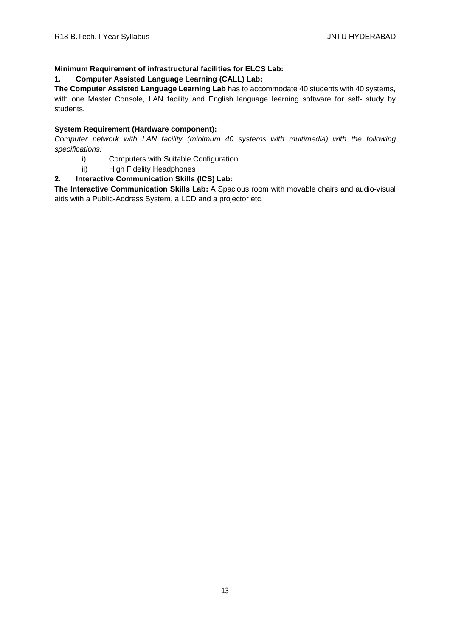# **Minimum Requirement of infrastructural facilities for ELCS Lab:**

# **1. Computer Assisted Language Learning (CALL) Lab:**

**The Computer Assisted Language Learning Lab** has to accommodate 40 students with 40 systems, with one Master Console, LAN facility and English language learning software for self- study by students.

# **System Requirement (Hardware component):**

*Computer network with LAN facility (minimum 40 systems with multimedia) with the following specifications:*

- i) Computers with Suitable Configuration
- ii) High Fidelity Headphones

# **2. Interactive Communication Skills (ICS) Lab:**

**The Interactive Communication Skills Lab:** A Spacious room with movable chairs and audio-visual aids with a Public-Address System, a LCD and a projector etc.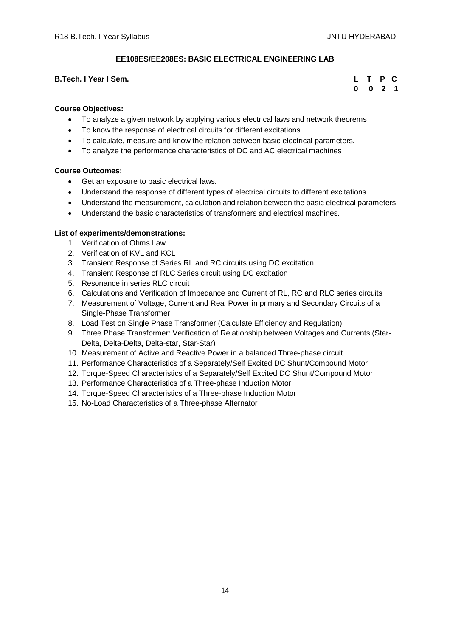# **EE108ES/EE208ES: BASIC ELECTRICAL ENGINEERING LAB**

# **B.Tech. I Year I Sem.**

|  | L T P C            |  |
|--|--------------------|--|
|  | $0 \t 0 \t 2 \t 1$ |  |

#### **Course Objectives:**

- To analyze a given network by applying various electrical laws and network theorems
- To know the response of electrical circuits for different excitations
- To calculate, measure and know the relation between basic electrical parameters.
- To analyze the performance characteristics of DC and AC electrical machines

## **Course Outcomes:**

- Get an exposure to basic electrical laws.
- Understand the response of different types of electrical circuits to different excitations.
- Understand the measurement, calculation and relation between the basic electrical parameters
- Understand the basic characteristics of transformers and electrical machines.

## **List of experiments/demonstrations:**

- 1. Verification of Ohms Law
- 2. Verification of KVL and KCL
- 3. Transient Response of Series RL and RC circuits using DC excitation
- 4. Transient Response of RLC Series circuit using DC excitation
- 5. Resonance in series RLC circuit
- 6. Calculations and Verification of Impedance and Current of RL, RC and RLC series circuits
- 7. Measurement of Voltage, Current and Real Power in primary and Secondary Circuits of a Single-Phase Transformer
- 8. Load Test on Single Phase Transformer (Calculate Efficiency and Regulation)
- 9. Three Phase Transformer: Verification of Relationship between Voltages and Currents (Star-Delta, Delta-Delta, Delta-star, Star-Star)
- 10. Measurement of Active and Reactive Power in a balanced Three-phase circuit
- 11. Performance Characteristics of a Separately/Self Excited DC Shunt/Compound Motor
- 12. Torque-Speed Characteristics of a Separately/Self Excited DC Shunt/Compound Motor
- 13. Performance Characteristics of a Three-phase Induction Motor
- 14. Torque-Speed Characteristics of a Three-phase Induction Motor
- 15. No-Load Characteristics of a Three-phase Alternator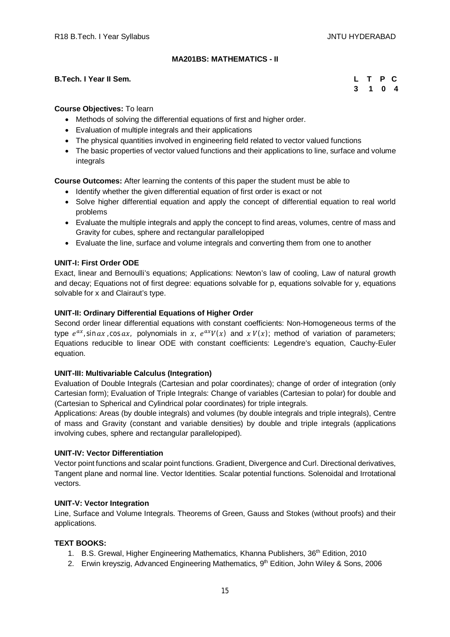# **MA201BS: MATHEMATICS - II**

#### **B.Tech. I Year II Sem.**

|  | L T P C |  |
|--|---------|--|
|  | 3 1 0 4 |  |

## **Course Objectives:** To learn

- Methods of solving the differential equations of first and higher order.
- Evaluation of multiple integrals and their applications
- The physical quantities involved in engineering field related to vector valued functions
- The basic properties of vector valued functions and their applications to line, surface and volume integrals

**Course Outcomes:** After learning the contents of this paper the student must be able to

- Identify whether the given differential equation of first order is exact or not
- Solve higher differential equation and apply the concept of differential equation to real world problems
- Evaluate the multiple integrals and apply the concept to find areas, volumes, centre of mass and Gravity for cubes, sphere and rectangular parallelopiped
- Evaluate the line, surface and volume integrals and converting them from one to another

# **UNIT-I: First Order ODE**

Exact, linear and Bernoulli's equations; Applications: Newton's law of cooling, Law of natural growth and decay; Equations not of first degree: equations solvable for p, equations solvable for y, equations solvable for x and Clairaut's type.

# **UNIT-II: Ordinary Differential Equations of Higher Order**

Second order linear differential equations with constant coefficients: Non-Homogeneous terms of the type  $e^{ax}$ , sin ax, cos ax, polynomials in x,  $e^{ax}V(x)$  and  $x V(x)$ ; method of variation of parameters; Equations reducible to linear ODE with constant coefficients: Legendre's equation, Cauchy-Euler equation.

# **UNIT-III: Multivariable Calculus (Integration)**

Evaluation of Double Integrals (Cartesian and polar coordinates); change of order of integration (only Cartesian form); Evaluation of Triple Integrals: Change of variables (Cartesian to polar) for double and (Cartesian to Spherical and Cylindrical polar coordinates) for triple integrals.

Applications: Areas (by double integrals) and volumes (by double integrals and triple integrals), Centre of mass and Gravity (constant and variable densities) by double and triple integrals (applications involving cubes, sphere and rectangular parallelopiped).

#### **UNIT-IV: Vector Differentiation**

Vector point functions and scalar point functions. Gradient, Divergence and Curl. Directional derivatives, Tangent plane and normal line. Vector Identities. Scalar potential functions. Solenoidal and Irrotational vectors.

# **UNIT-V: Vector Integration**

Line, Surface and Volume Integrals. Theorems of Green, Gauss and Stokes (without proofs) and their applications.

#### **TEXT BOOKS:**

- 1. B.S. Grewal, Higher Engineering Mathematics, Khanna Publishers, 36<sup>th</sup> Edition, 2010
- 2. Erwin kreyszig, Advanced Engineering Mathematics, 9th Edition, John Wiley & Sons, 2006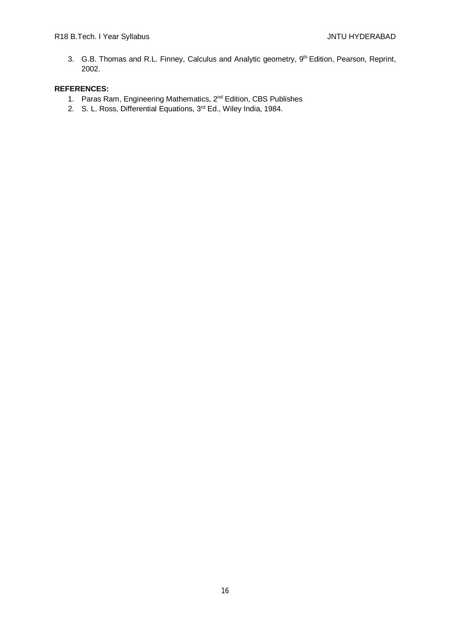3. G.B. Thomas and R.L. Finney, Calculus and Analytic geometry, 9<sup>th</sup> Edition, Pearson, Reprint, 2002.

# **REFERENCES:**

- 1. Paras Ram, Engineering Mathematics, 2nd Edition, CBS Publishes
- 2. S. L. Ross, Differential Equations, 3<sup>rd</sup> Ed., Wiley India, 1984.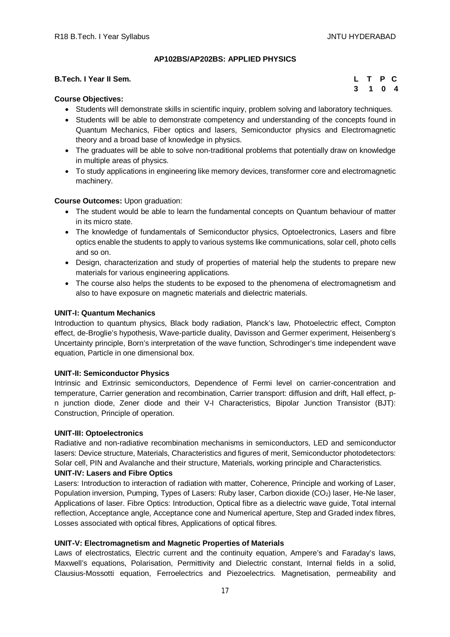# **AP102BS/AP202BS: APPLIED PHYSICS**

| <b>B.Tech. I Year II Sem.</b> | L T P C |  |
|-------------------------------|---------|--|
| $\sim$<br>_ _ _               | 3 1 0 4 |  |

## **Course Objectives:**

- Students will demonstrate skills in scientific inquiry, problem solving and laboratory techniques.
- Students will be able to demonstrate competency and understanding of the concepts found in Quantum Mechanics, Fiber optics and lasers, Semiconductor physics and Electromagnetic theory and a broad base of knowledge in physics.
- The graduates will be able to solve non-traditional problems that potentially draw on knowledge in multiple areas of physics.
- To study applications in engineering like memory devices, transformer core and electromagnetic machinery.

## **Course Outcomes:** Upon graduation:

- The student would be able to learn the fundamental concepts on Quantum behaviour of matter in its micro state.
- The knowledge of fundamentals of Semiconductor physics, Optoelectronics, Lasers and fibre optics enable the students to apply to various systems like communications, solar cell, photo cells and so on.
- Design, characterization and study of properties of material help the students to prepare new materials for various engineering applications.
- The course also helps the students to be exposed to the phenomena of electromagnetism and also to have exposure on magnetic materials and dielectric materials.

## **UNIT-I: Quantum Mechanics**

Introduction to quantum physics, Black body radiation, Planck's law, Photoelectric effect, Compton effect, de-Broglie's hypothesis, Wave-particle duality, Davisson and Germer experiment, Heisenberg's Uncertainty principle, Born's interpretation of the wave function, Schrodinger's time independent wave equation, Particle in one dimensional box.

#### **UNIT-II: Semiconductor Physics**

Intrinsic and Extrinsic semiconductors, Dependence of Fermi level on carrier-concentration and temperature, Carrier generation and recombination, Carrier transport: diffusion and drift, Hall effect, pn junction diode, Zener diode and their V-I Characteristics, Bipolar Junction Transistor (BJT): Construction, Principle of operation.

#### **UNIT-III: Optoelectronics**

Radiative and non-radiative recombination mechanisms in semiconductors, LED and semiconductor lasers: Device structure, Materials, Characteristics and figures of merit, Semiconductor photodetectors: Solar cell, PIN and Avalanche and their structure, Materials, working principle and Characteristics.

#### **UNIT-IV: Lasers and Fibre Optics**

Lasers: Introduction to interaction of radiation with matter, Coherence, Principle and working of Laser, Population inversion, Pumping, Types of Lasers: Ruby laser, Carbon dioxide (CO<sub>2</sub>) laser, He-Ne laser, Applications of laser. Fibre Optics: Introduction, Optical fibre as a dielectric wave guide, Total internal reflection, Acceptance angle, Acceptance cone and Numerical aperture, Step and Graded index fibres, Losses associated with optical fibres, Applications of optical fibres.

# **UNIT-V: Electromagnetism and Magnetic Properties of Materials**

Laws of electrostatics, Electric current and the continuity equation, Ampere's and Faraday's laws, Maxwell's equations, Polarisation, Permittivity and Dielectric constant, Internal fields in a solid, Clausius-Mossotti equation, Ferroelectrics and Piezoelectrics. Magnetisation, permeability and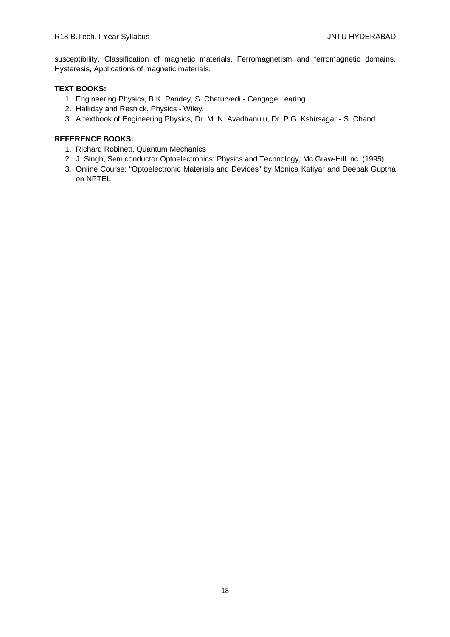susceptibility, Classification of magnetic materials, Ferromagnetism and ferromagnetic domains, Hysteresis, Applications of magnetic materials.

# **TEXT BOOKS:**

- 1. Engineering Physics, B.K. Pandey, S. Chaturvedi Cengage Learing.
- 2. Halliday and Resnick, Physics Wiley.
- 3. A textbook of Engineering Physics, Dr. M. N. Avadhanulu, Dr. P.G. Kshirsagar S. Chand

- 1. Richard Robinett, Quantum Mechanics
- 2. J. Singh, Semiconductor Optoelectronics: Physics and Technology, Mc Graw-Hill inc. (1995).
- 3. Online Course: "Optoelectronic Materials and Devices" by Monica Katiyar and Deepak Guptha on NPTEL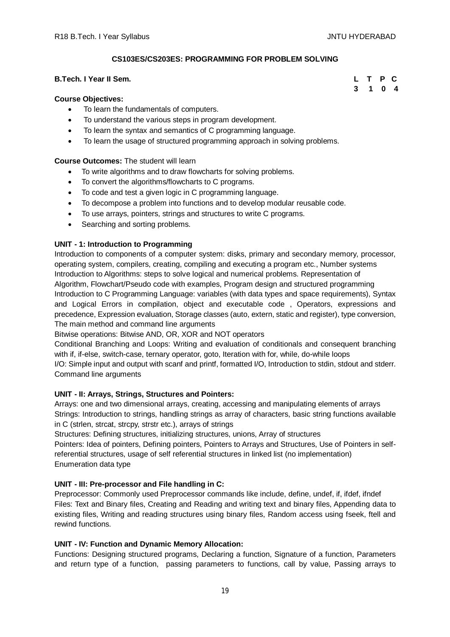# **CS103ES/CS203ES: PROGRAMMING FOR PROBLEM SOLVING**

# **B.Tech. I Year II Sem.**

#### **Course Objectives:**

- To learn the fundamentals of computers.
- To understand the various steps in program development.
- To learn the syntax and semantics of C programming language.
- To learn the usage of structured programming approach in solving problems.

# **Course Outcomes:** The student will learn

- To write algorithms and to draw flowcharts for solving problems.
- To convert the algorithms/flowcharts to C programs.
- To code and test a given logic in C programming language.
- To decompose a problem into functions and to develop modular reusable code.
- To use arrays, pointers, strings and structures to write C programs.
- Searching and sorting problems.

## **UNIT - 1: Introduction to Programming**

Introduction to components of a computer system: disks, primary and secondary memory, processor, operating system, compilers, creating, compiling and executing a program etc., Number systems Introduction to Algorithms: steps to solve logical and numerical problems. Representation of Algorithm, Flowchart/Pseudo code with examples, Program design and structured programming Introduction to C Programming Language: variables (with data types and space requirements), Syntax and Logical Errors in compilation, object and executable code , Operators, expressions and precedence, Expression evaluation, Storage classes (auto, extern, static and register), type conversion, The main method and command line arguments

Bitwise operations: Bitwise AND, OR, XOR and NOT operators

Conditional Branching and Loops: Writing and evaluation of conditionals and consequent branching with if, if-else, switch-case, ternary operator, goto, Iteration with for, while, do-while loops I/O: Simple input and output with scanf and printf, formatted I/O, Introduction to stdin, stdout and stderr.

Command line arguments

## **UNIT - II: Arrays, Strings, Structures and Pointers:**

Arrays: one and two dimensional arrays, creating, accessing and manipulating elements of arrays Strings: Introduction to strings, handling strings as array of characters, basic string functions available in C (strlen, strcat, strcpy, strstr etc.), arrays of strings

Structures: Defining structures, initializing structures, unions, Array of structures

Pointers: Idea of pointers, Defining pointers, Pointers to Arrays and Structures, Use of Pointers in selfreferential structures, usage of self referential structures in linked list (no implementation) Enumeration data type

#### **UNIT - III: Pre-processor and File handling in C:**

Preprocessor: Commonly used Preprocessor commands like include, define, undef, if, ifdef, ifndef Files: Text and Binary files, Creating and Reading and writing text and binary files, Appending data to existing files, Writing and reading structures using binary files, Random access using fseek, ftell and rewind functions.

## **UNIT - IV: Function and Dynamic Memory Allocation:**

Functions: Designing structured programs, Declaring a function, Signature of a function, Parameters and return type of a function, passing parameters to functions, call by value, Passing arrays to

|  | L T P C |  |
|--|---------|--|
|  | 3 1 0 4 |  |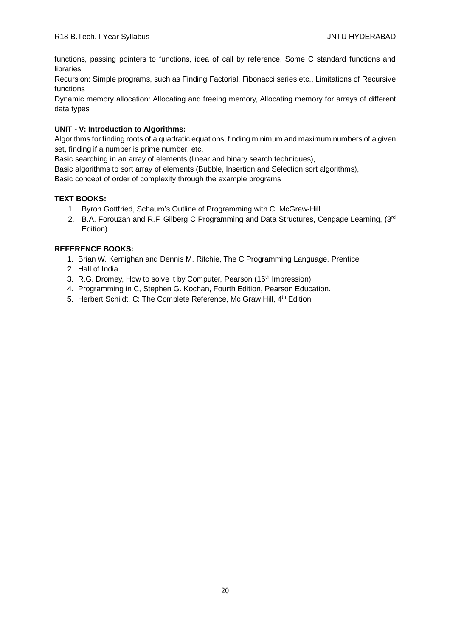functions, passing pointers to functions, idea of call by reference, Some C standard functions and libraries

Recursion: Simple programs, such as Finding Factorial, Fibonacci series etc., Limitations of Recursive functions

Dynamic memory allocation: Allocating and freeing memory, Allocating memory for arrays of different data types

# **UNIT - V: Introduction to Algorithms:**

Algorithms for finding roots of a quadratic equations, finding minimum and maximum numbers of a given set, finding if a number is prime number, etc.

Basic searching in an array of elements (linear and binary search techniques),

Basic algorithms to sort array of elements (Bubble, Insertion and Selection sort algorithms),

Basic concept of order of complexity through the example programs

# **TEXT BOOKS:**

- 1. Byron Gottfried, Schaum's Outline of Programming with C, McGraw-Hill
- 2. B.A. Forouzan and R.F. Gilberg C Programming and Data Structures, Cengage Learning, (3rd Edition)

- 1. Brian W. Kernighan and Dennis M. Ritchie, The C Programming Language, Prentice
- 2. Hall of India
- 3. R.G. Dromey, How to solve it by Computer, Pearson (16<sup>th</sup> Impression)
- 4. Programming in C, Stephen G. Kochan, Fourth Edition, Pearson Education.
- 5. Herbert Schildt, C: The Complete Reference, Mc Graw Hill, 4<sup>th</sup> Edition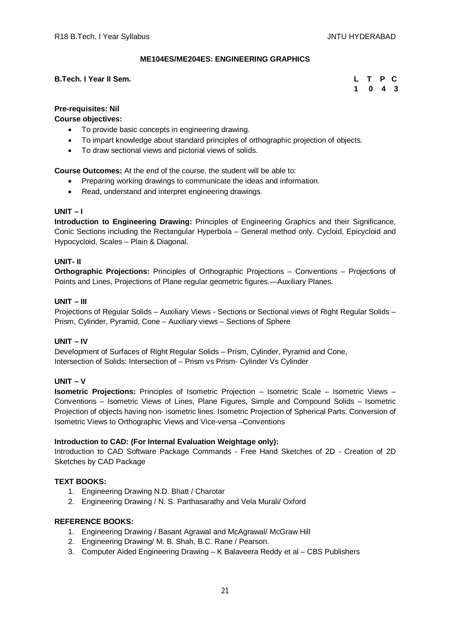# **ME104ES/ME204ES: ENGINEERING GRAPHICS**

# **B.Tech. I Year II Sem.**

|  | L T P C                     |  |
|--|-----------------------------|--|
|  | $1 \quad 0 \quad 4 \quad 3$ |  |

# **Pre-requisites: Nil**

**Course objectives:**

- To provide basic concepts in engineering drawing.
- To impart knowledge about standard principles of orthographic projection of objects.
- To draw sectional views and pictorial views of solids.

**Course Outcomes:** At the end of the course, the student will be able to:

- Preparing working drawings to communicate the ideas and information.
- Read, understand and interpret engineering drawings.

# **UNIT – I**

**Introduction to Engineering Drawing:** Principles of Engineering Graphics and their Significance, Conic Sections including the Rectangular Hyperbola – General method only. Cycloid, Epicycloid and Hypocycloid, Scales – Plain & Diagonal.

## **UNIT- II**

**Orthographic Projections:** Principles of Orthographic Projections – Conventions – Projections of Points and Lines, Projections of Plane regular geometric figures.—Auxiliary Planes.

## **UNIT – III**

Projections of Regular Solids – Auxiliary Views - Sections or Sectional views of Right Regular Solids – Prism, Cylinder, Pyramid, Cone – Auxiliary views – Sections of Sphere

#### **UNIT – IV**

Development of Surfaces of Right Regular Solids – Prism, Cylinder, Pyramid and Cone, Intersection of Solids: Intersection of – Prism vs Prism- Cylinder Vs Cylinder

#### **UNIT – V**

**Isometric Projections:** Principles of Isometric Projection – Isometric Scale – Isometric Views – Conventions – Isometric Views of Lines, Plane Figures, Simple and Compound Solids – Isometric Projection of objects having non- isometric lines. Isometric Projection of Spherical Parts. Conversion of Isometric Views to Orthographic Views and Vice-versa –Conventions

#### **Introduction to CAD: (For Internal Evaluation Weightage only):**

Introduction to CAD Software Package Commands - Free Hand Sketches of 2D - Creation of 2D Sketches by CAD Package

#### **TEXT BOOKS:**

- 1. Engineering Drawing N.D. Bhatt / Charotar
- 2. Engineering Drawing / N. S. Parthasarathy and Vela Murali/ Oxford

- 1. Engineering Drawing / Basant Agrawal and McAgrawal/ McGraw Hill
- 2. Engineering Drawing/ M. B. Shah, B.C. Rane / Pearson.
- 3. Computer Aided Engineering Drawing K Balaveera Reddy et al CBS Publishers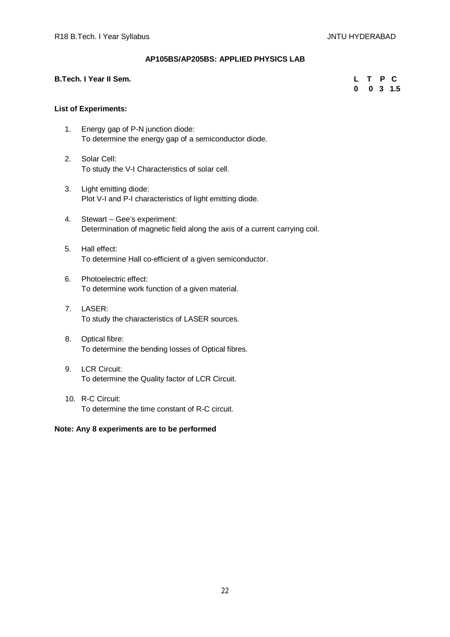# **AP105BS/AP205BS: APPLIED PHYSICS LAB**

## **B.Tech. I Year II Sem.**

|  |  | L T P C     |
|--|--|-------------|
|  |  | $0$ 0 3 1.5 |

## **List of Experiments:**

- 1. Energy gap of P-N junction diode: To determine the energy gap of a semiconductor diode.
- 2. Solar Cell: To study the V-I Characteristics of solar cell.
- 3. Light emitting diode: Plot V-I and P-I characteristics of light emitting diode.
- 4. Stewart Gee's experiment: Determination of magnetic field along the axis of a current carrying coil.
- 5. Hall effect: To determine Hall co-efficient of a given semiconductor.
- 6. Photoelectric effect: To determine work function of a given material.
- 7. LASER: To study the characteristics of LASER sources.
- 8. Optical fibre: To determine the bending losses of Optical fibres.
- 9. LCR Circuit: To determine the Quality factor of LCR Circuit.
- 10. R-C Circuit: To determine the time constant of R-C circuit.

# **Note: Any 8 experiments are to be performed**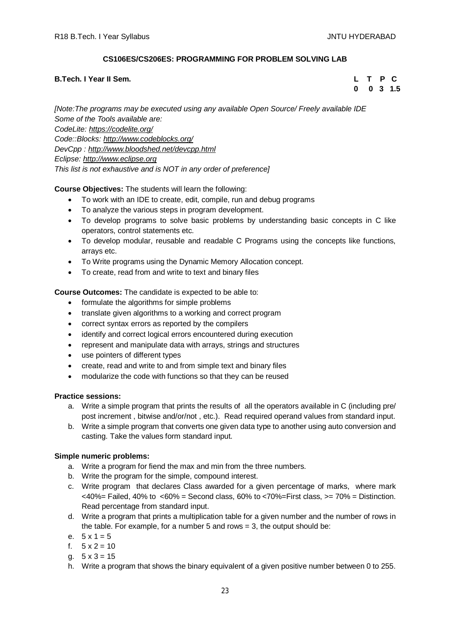# **CS106ES/CS206ES: PROGRAMMING FOR PROBLEM SOLVING LAB**

# **B.Tech. I Year II Sem. L T P C**

 **0 0 3 1.5**

*[Note:The programs may be executed using any available Open Source/ Freely available IDE Some of the Tools available are: CodeLite: <https://codelite.org/> Code::Blocks: <http://www.codeblocks.org/> DevCpp : <http://www.bloodshed.net/devcpp.html> Eclipse: <http://www.eclipse.org> This list is not exhaustive and is NOT in any order of preference]*

# **Course Objectives:** The students will learn the following:

- To work with an IDE to create, edit, compile, run and debug programs
- To analyze the various steps in program development.
- To develop programs to solve basic problems by understanding basic concepts in C like operators, control statements etc.
- To develop modular, reusable and readable C Programs using the concepts like functions, arrays etc.
- To Write programs using the Dynamic Memory Allocation concept.
- To create, read from and write to text and binary files

# **Course Outcomes:** The candidate is expected to be able to:

- formulate the algorithms for simple problems
- translate given algorithms to a working and correct program
- correct syntax errors as reported by the compilers
- identify and correct logical errors encountered during execution
- represent and manipulate data with arrays, strings and structures
- use pointers of different types
- create, read and write to and from simple text and binary files
- modularize the code with functions so that they can be reused

# **Practice sessions:**

- a. Write a simple program that prints the results of all the operators available in C (including pre/ post increment , bitwise and/or/not , etc.). Read required operand values from standard input.
- b. Write a simple program that converts one given data type to another using auto conversion and casting. Take the values form standard input.

# **Simple numeric problems:**

- a. Write a program for fiend the max and min from the three numbers.
- b. Write the program for the simple, compound interest.
- c. Write program that declares Class awarded for a given percentage of marks, where mark  $<40\%$  = Failed, 40% to  $<60\%$  = Second class, 60% to  $<70\%$  = First class,  $>=70\%$  = Distinction. Read percentage from standard input.
- d. Write a program that prints a multiplication table for a given number and the number of rows in the table. For example, for a number 5 and rows  $= 3$ , the output should be:
- e.  $5 \times 1 = 5$
- f.  $5 \times 2 = 10$
- a.  $5 \times 3 = 15$
- h. Write a program that shows the binary equivalent of a given positive number between 0 to 255.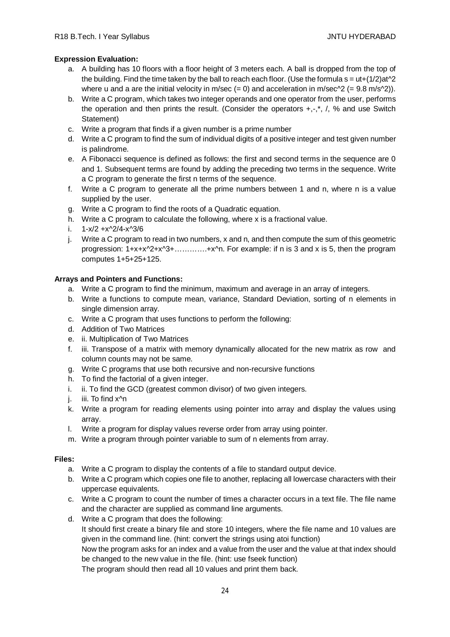# **Expression Evaluation:**

- a. A building has 10 floors with a floor height of 3 meters each. A ball is dropped from the top of the building. Find the time taken by the ball to reach each floor. (Use the formula  $s = ut+(1/2)at^2$ where u and a are the initial velocity in m/sec  $(= 0)$  and acceleration in m/sec $\gamma$ 2  $(= 9.8 \text{ m/s}\gamma$ 2)).
- b. Write a C program, which takes two integer operands and one operator from the user, performs the operation and then prints the result. (Consider the operators  $+,$ , $^*$ , $',$ , % and use Switch Statement)
- c. Write a program that finds if a given number is a prime number
- d. Write a C program to find the sum of individual digits of a positive integer and test given number is palindrome.
- e. A Fibonacci sequence is defined as follows: the first and second terms in the sequence are 0 and 1. Subsequent terms are found by adding the preceding two terms in the sequence. Write a C program to generate the first n terms of the sequence.
- f. Write a C program to generate all the prime numbers between 1 and n, where n is a value supplied by the user.
- g. Write a C program to find the roots of a Quadratic equation.
- h. Write a C program to calculate the following, where x is a fractional value.
- i.  $1-x/2 +x^2/4-x^3/6$
- j. Write a C program to read in two numbers, x and n, and then compute the sum of this geometric progression: 1+x+x^2+x^3+………….+x^n. For example: if n is 3 and x is 5, then the program computes 1+5+25+125.

# **Arrays and Pointers and Functions:**

- a. Write a C program to find the minimum, maximum and average in an array of integers.
- b. Write a functions to compute mean, variance, Standard Deviation, sorting of n elements in single dimension array.
- c. Write a C program that uses functions to perform the following:
- d. Addition of Two Matrices
- e. ii. Multiplication of Two Matrices
- f. iii. Transpose of a matrix with memory dynamically allocated for the new matrix as row and column counts may not be same.
- g. Write C programs that use both recursive and non-recursive functions
- h. To find the factorial of a given integer.
- i. ii. To find the GCD (greatest common divisor) of two given integers.
- j. iii. To find x<sup>^</sup>n
- k. Write a program for reading elements using pointer into array and display the values using array.
- l. Write a program for display values reverse order from array using pointer.
- m. Write a program through pointer variable to sum of n elements from array.

# **Files:**

- a. Write a C program to display the contents of a file to standard output device.
- b. Write a C program which copies one file to another, replacing all lowercase characters with their uppercase equivalents.
- c. Write a C program to count the number of times a character occurs in a text file. The file name and the character are supplied as command line arguments.
- d. Write a C program that does the following: It should first create a binary file and store 10 integers, where the file name and 10 values are given in the command line. (hint: convert the strings using atoi function)

Now the program asks for an index and a value from the user and the value at that index should be changed to the new value in the file. (hint: use fseek function)

The program should then read all 10 values and print them back.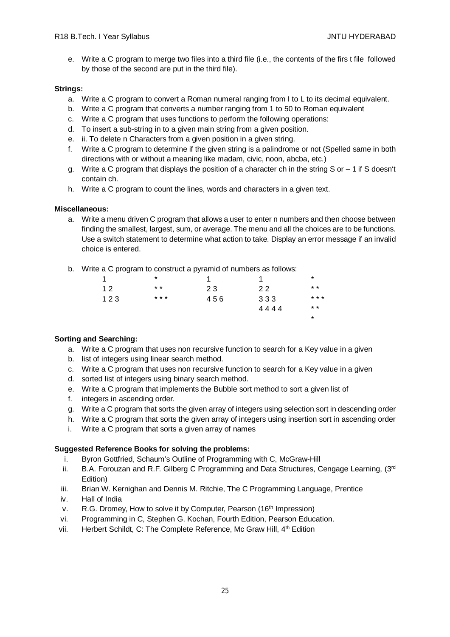e. Write a C program to merge two files into a third file (i.e., the contents of the firs t file followed by those of the second are put in the third file).

# **Strings:**

- a. Write a C program to convert a Roman numeral ranging from I to L to its decimal equivalent.
- b. Write a C program that converts a number ranging from 1 to 50 to Roman equivalent
- c. Write a C program that uses functions to perform the following operations:
- d. To insert a sub-string in to a given main string from a given position.
- e. ii. To delete n Characters from a given position in a given string.
- f. Write a C program to determine if the given string is a palindrome or not (Spelled same in both directions with or without a meaning like madam, civic, noon, abcba, etc.)
- g. Write a C program that displays the position of a character ch in the string S or  $-1$  if S doesn't contain ch.
- h. Write a C program to count the lines, words and characters in a given text.

# **Miscellaneous:**

a. Write a menu driven C program that allows a user to enter n numbers and then choose between finding the smallest, largest, sum, or average. The menu and all the choices are to be functions. Use a switch statement to determine what action to take. Display an error message if an invalid choice is entered.

\*

b. Write a C program to construct a pyramid of numbers as follows:

| 1   | $\star$ |     |      | $^\star$        |
|-----|---------|-----|------|-----------------|
| 12  | $* *$   | 23  | 22   | $\star$ $\star$ |
| 123 | * * *   | 456 | 333  | * * *           |
|     |         |     | 4444 | $* *$           |

# **Sorting and Searching:**

- a. Write a C program that uses non recursive function to search for a Key value in a given
- b. list of integers using linear search method.
- c. Write a C program that uses non recursive function to search for a Key value in a given
- d. sorted list of integers using binary search method.
- e. Write a C program that implements the Bubble sort method to sort a given list of
- f. integers in ascending order.
- g. Write a C program that sorts the given array of integers using selection sort in descending order
- h. Write a C program that sorts the given array of integers using insertion sort in ascending order
- i. Write a C program that sorts a given array of names

# **Suggested Reference Books for solving the problems:**

- i. Byron Gottfried, Schaum's Outline of Programming with C, McGraw-Hill
- ii. B.A. Forouzan and R.F. Gilberg C Programming and Data Structures, Cengage Learning,  $(3<sup>rd</sup>$ Edition)
- iii. Brian W. Kernighan and Dennis M. Ritchie, The C Programming Language, Prentice
- iv. Hall of India
- v. R.G. Dromey, How to solve it by Computer, Pearson (16<sup>th</sup> Impression)
- vi. Programming in C, Stephen G. Kochan, Fourth Edition, Pearson Education.
- vii. Herbert Schildt, C: The Complete Reference, Mc Graw Hill, 4th Edition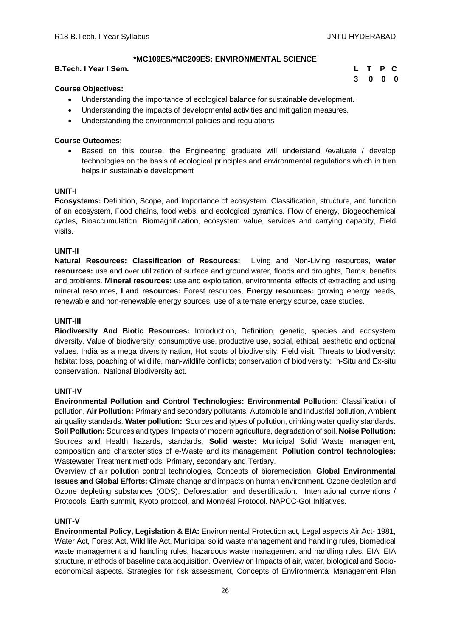**3 0 0 0**

## **\*MC109ES/\*MC209ES: ENVIRONMENTAL SCIENCE**

# **B.Tech. I Year I Sem. L T P C**

## **Course Objectives:**

- Understanding the importance of ecological balance for sustainable development.
- Understanding the impacts of developmental activities and mitigation measures.
- Understanding the environmental policies and regulations

## **Course Outcomes:**

 Based on this course, the Engineering graduate will understand /evaluate / develop technologies on the basis of ecological principles and environmental regulations which in turn helps in sustainable development

## **UNIT-I**

**Ecosystems:** Definition, Scope, and Importance of ecosystem. Classification, structure, and function of an ecosystem, Food chains, food webs, and ecological pyramids. Flow of energy, Biogeochemical cycles, Bioaccumulation, Biomagnification, ecosystem value, services and carrying capacity, Field visits.

## **UNIT-II**

**Natural Resources: Classification of Resources:** Living and Non-Living resources, **water resources:** use and over utilization of surface and ground water, floods and droughts, Dams: benefits and problems. **Mineral resources:** use and exploitation, environmental effects of extracting and using mineral resources, **Land resources:** Forest resources, **Energy resources:** growing energy needs, renewable and non-renewable energy sources, use of alternate energy source, case studies.

#### **UNIT-III**

**Biodiversity And Biotic Resources:** Introduction, Definition, genetic, species and ecosystem diversity. Value of biodiversity; consumptive use, productive use, social, ethical, aesthetic and optional values. India as a mega diversity nation, Hot spots of biodiversity. Field visit. Threats to biodiversity: habitat loss, poaching of wildlife, man-wildlife conflicts; conservation of biodiversity: In-Situ and Ex-situ conservation. National Biodiversity act.

#### **UNIT-IV**

**Environmental Pollution and Control Technologies: Environmental Pollution:** Classification of pollution, **Air Pollution:** Primary and secondary pollutants, Automobile and Industrial pollution, Ambient air quality standards. **Water pollution:** Sources and types of pollution, drinking water quality standards. **Soil Pollution:** Sources and types, Impacts of modern agriculture, degradation of soil. **Noise Pollution:**  Sources and Health hazards, standards, **Solid waste:** Municipal Solid Waste management, composition and characteristics of e-Waste and its management. **Pollution control technologies:** Wastewater Treatment methods: Primary, secondary and Tertiary.

Overview of air pollution control technologies, Concepts of bioremediation. **Global Environmental Issues and Global Efforts: C**limate change and impacts on human environment. Ozone depletion and Ozone depleting substances (ODS). Deforestation and desertification. International conventions / Protocols: Earth summit, Kyoto protocol, and Montréal Protocol. NAPCC-GoI Initiatives.

#### **UNIT-V**

**Environmental Policy, Legislation & EIA:** Environmental Protection act, Legal aspects Air Act- 1981, Water Act, Forest Act, Wild life Act, Municipal solid waste management and handling rules, biomedical waste management and handling rules, hazardous waste management and handling rules. EIA: EIA structure, methods of baseline data acquisition. Overview on Impacts of air, water, biological and Socioeconomical aspects. Strategies for risk assessment, Concepts of Environmental Management Plan